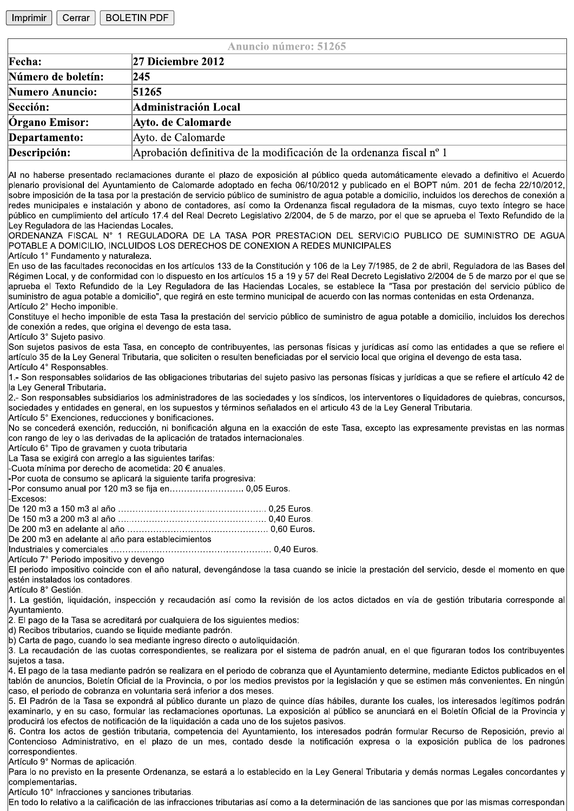Imprimir Cerrar **BOLETIN PDF** 

| <b>Anuncio número: 51265</b> |                                                                      |
|------------------------------|----------------------------------------------------------------------|
| Fecha:                       | 27 Diciembre 2012                                                    |
| Número de boletín:           | 245                                                                  |
| <b>Numero Anuncio:</b>       | 51265                                                                |
| Sección:                     | Administración Local                                                 |
| Órgano Emisor:               | Ayto. de Calomarde                                                   |
| Departamento:                | Ayto. de Calomarde                                                   |
| Descripción:                 | Aprobación definitiva de la modificación de la ordenanza fiscal nº 1 |
|                              |                                                                      |

Al no haberse presentado reclamaciones durante el plazo de exposición al público queda automáticamente elevado a definitivo el Acuerdo plenario provisional del Ayuntamiento de Calomarde adoptado en fecha 06/10/2012 y publicado en el BOPT núm. 201 de fecha 22/10/2012, sobre imposición de la tasa por la prestación de servicio público de suministro de agua potable a domicilio, incluidos los derechos de conexión a redes municipales e instalación y abono de contadores, así como la Ordenanza fiscal reguladora de la mismas, cuyo texto íntegro se hace público en cumplimiento del artículo 17.4 del Real Decreto Legislativo 2/2004, de 5 de marzo, por el que se aprueba el Texto Refundido de la .<br>Lev Reguladora de las Haciendas Locales.

IORDENANZA FISCAL N° 1 REGULADORA DE LA TASA POR PRESTACION DEL SERVICIO PUBLICO DE SUMINISTRO DE AGUA POTABLE A DOMICILIO, INCLUIDOS LOS DERECHOS DE CONEXION A REDES MUNICIPALES

Artículo 1° Fundamento y naturaleza.

En uso de las facultades reconocidas en los artículos 133 de la Constitución y 106 de la Ley 7/1985, de 2 de abril, Reguladora de las Bases del Régimen Local, y de conformidad con lo dispuesto en los artículos 15 a 19 y 57 del Real Decreto Legislativo 2/2004 de 5 de marzo por el que se aprueba el Texto Refundido de la Ley Reguladora de las Haciendas Locales, se establece la "Tasa por prestación del servicio público de suministro de agua potable a domicilio", que regirá en este termino municipal de acuerdo con las normas contenidas en esta Ordenanza. Artículo 2° Hecho imponible.

Constituve el hecho imponible de esta Tasa la prestación del servicio público de suministro de aqua potable a domicilio, incluidos los derechos de conexión a redes, que origina el devengo de esta tasa.

Artículo 3° Sujeto pasivo.

Son suietos pasivos de esta Tasa, en concepto de contribuventes, las personas físicas y iurídicas así como las entidades a que se refiere el artículo 35 de la Ley General Tributaria, que soliciten o resulten beneficiadas por el servicio local que origina el devengo de esta tasa. Artículo 4° Responsables.

1.- Son responsables solidarios de las obligaciones tributarias del sujeto pasivo las personas físicas y jurídicas a que se refiere el artículo 42 de la Ley General Tributaria.

2.- Son responsables subsidiarios los administradores de las sociedades y los síndicos, los interventores o liquidadores de quiebras, concursos, sociedades y entidades en general, en los supuestos y términos señalados en el articulo 43 de la Ley General Tributaria. Artículo 5° Exenciones, reducciones y bonificaciones.

No se concederá exención, reducción, ni bonificación alguna en la exacción de este Tasa, excepto las expresamente previstas en las normas con rango de ley o las derivadas de la aplicación de tratados internacionales.

Artículo 6° Tipo de gravamen y cuota tributaria

La Tasa se exigirá con arreglo a las siguientes tarifas:

-Cuota mínima por derecho de acometida: 20 € anuales.

-Por cuota de consumo se aplicará la siguiente tarifa progresiva:

-Por consumo anual por 120 m3 se fija en........................... 0,05 Euros.

Excesos:

De 200 m3 en adelante al año para establecimientos

Artículo 7° Periodo impositivo y devengo

El periodo impositivo coincide con el año natural, devengándose la tasa cuando se inicie la prestación del servicio, desde el momento en que lestén instalados los contadores.

Artículo 8° Gestión.

1. La gestión, liquidación, inspección y recaudación así como la revisión de los actos dictados en vía de gestión tributaria corresponde al Ayuntamiento.

2. El pago de la Tasa se acreditará por cualquiera de los siguientes medios:

d) Recibos tributarios. cuando se liquide mediante padrón.

b) Carta de pago, cuando lo sea mediante ingreso directo o autoliquidación.

3. La recaudación de las cuotas correspondientes, se realizara por el sistema de padrón anual, en el que figuraran todos los contribuyentes sujetos a tasa.

4. El pago de la tasa mediante padrón se realizara en el periodo de cobranza que el Avuntamiento determine, mediante Edictos publicados en el tablón de anuncios, Boletín Oficial de la Provincia, o por los medios previstos por la legislación y que se estimen más convenientes. En ningún caso, el periodo de cobranza en voluntaria será inferior a dos meses.

5. El Padrón de la Tasa se expondrá al público durante un plazo de quince días hábiles, durante los cuales, los interesados legítimos podrán examinarlo, y en su caso, formular las reclamaciones oportunas. La exposición al público se anunciará en el Boletín Oficial de la Provincia y producirá los efectos de notificación de la liquidación a cada uno de los sujetos pasivos.

6. Contra los actos de gestión tributaria, competencia del Ayuntamiento, los interesados podrán formular Recurso de Reposición, previo al Contencioso Administrativo, en el plazo de un mes, contado desde la notificación expresa o la exposición publica de los padrones correspondientes.

Artículo 9° Normas de aplicación.

Para lo no previsto en la presente Ordenanza, se estará a lo establecido en la Ley General Tributaria y demás normas Legales concordantes y complementarias.

Artículo 10° Infracciones y sanciones tributarias.

En todo lo relativo a la calificación de las infracciones tributarias así como a la determinación de las sanciones que por las mismas correspondan